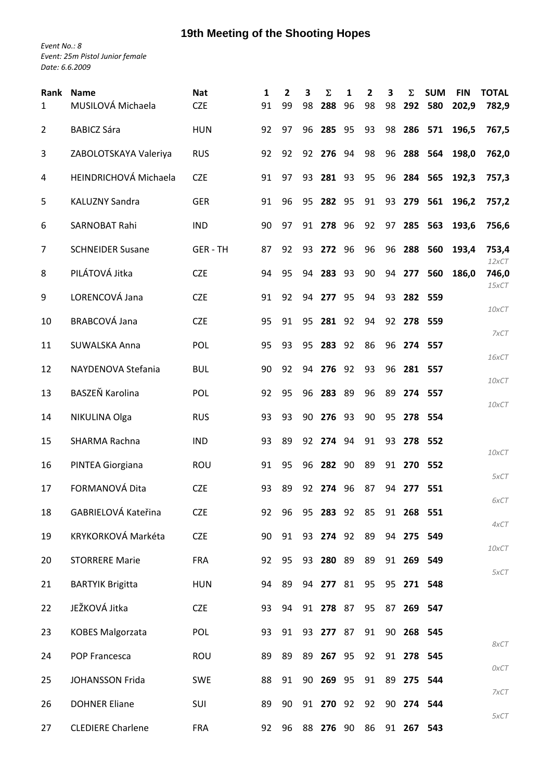## **19th Meeting of the Shooting Hopes**

*Event No.: 8 Event: 25m Pistol Junior female Date: 6.6.2009*

| <b>Rank</b><br>$\mathbf{1}$ | <b>Name</b><br>MUSILOVÁ Michaela | <b>Nat</b><br><b>CZE</b> | 1<br>91 | $\overline{2}$<br>99 | 3<br>98 | Σ<br>288     | 1<br>96 | 2<br>98 | 3<br>98 | Σ<br>292   | <b>SUM</b><br>580 | <b>FIN</b><br>202,9 | <b>TOTAL</b><br>782,9 |
|-----------------------------|----------------------------------|--------------------------|---------|----------------------|---------|--------------|---------|---------|---------|------------|-------------------|---------------------|-----------------------|
| $\overline{2}$              | <b>BABICZ Sára</b>               | <b>HUN</b>               | 92      | 97                   | 96      | 285          | 95      | 93      | 98      |            | 286 571           | 196,5               | 767,5                 |
| 3                           | ZABOLOTSKAYA Valeriya            | <b>RUS</b>               | 92      | 92                   | 92      | 276          | 94      | 98      | 96      |            | 288 564           | 198,0               | 762,0                 |
| 4                           | HEINDRICHOVÁ Michaela            | <b>CZE</b>               | 91      | 97                   | 93      | 281          | 93      | 95      | 96      |            | 284 565           | 192,3               | 757,3                 |
| 5                           | <b>KALUZNY Sandra</b>            | <b>GER</b>               | 91      | 96                   | 95      | 282          | 95      | 91      | 93      | 279        | 561               | 196,2               | 757,2                 |
| 6                           | SARNOBAT Rahi                    | <b>IND</b>               | 90      | 97                   | 91      | 278          | 96      | 92      | 97      | 285        | 563               | 193,6               | 756,6                 |
| 7                           | <b>SCHNEIDER Susane</b>          | <b>GER-TH</b>            | 87      | 92                   | 93      | 272          | 96      | 96      | 96      | 288        | 560               | 193,4               | 753,4                 |
| 8                           | PILÁTOVÁ Jitka                   | <b>CZE</b>               | 94      | 95                   | 94      | 283          | 93      | 90      | 94      | 277        | 560               | 186,0               | 12xCT<br>746,0        |
| 9                           | LORENCOVÁ Jana                   | <b>CZE</b>               | 91      | 92                   | 94      | 277          | 95      | 94      | 93      |            | 282 559           |                     | $15\times$ CT         |
| 10                          | <b>BRABCOVÁ Jana</b>             | <b>CZE</b>               | 95      | 91                   | 95      | 281          | 92      | 94      |         | 92 278 559 |                   |                     | 10xCT                 |
| 11                          | SUWALSKA Anna                    | POL                      | 95      | 93                   | 95      | 283          | 92      | 86      | 96      |            | 274 557           |                     | 7xCT                  |
| 12                          | NAYDENOVA Stefania               | <b>BUL</b>               | 90      | 92                   | 94      | 276          | 92      | 93      | 96      |            | 281 557           |                     | 16xCT                 |
| 13                          | BASZEŇ Karolina                  | POL                      | 92      | 95                   | 96      | 283          | 89      | 96      | 89      | 274 557    |                   |                     | 10xCT                 |
| 14                          | NIKULINA Olga                    | <b>RUS</b>               | 93      | 93                   | 90      | 276          | 93      | 90      | 95      |            | 278 554           |                     | 10xCT                 |
| 15                          | SHARMA Rachna                    | <b>IND</b>               | 93      | 89                   | 92      | 274          | 94      | 91      | 93      |            | 278 552           |                     |                       |
| 16                          | PINTEA Giorgiana                 | ROU                      | 91      | 95                   | 96      | 282          | 90      | 89      |         | 91 270 552 |                   |                     | 10xCT                 |
| 17                          | FORMANOVÁ Dita                   | <b>CZE</b>               | 93      | 89                   | 92      | 274          | 96      | 87      | 94      | 277        | 551               |                     | 5xCT                  |
| 18                          | GABRIELOVÁ Kateřina              | <b>CZE</b>               | 92      | 96                   |         | 95 283 92 85 |         |         |         | 91 268 551 |                   |                     | 6xCT                  |
| 19                          | KRYKORKOVÁ Markéta               | <b>CZE</b>               | 90      | 91                   |         | 93 274 92    |         | 89      |         | 94 275 549 |                   |                     | 4xCT                  |
| 20                          | <b>STORRERE Marie</b>            | <b>FRA</b>               | 92      | 95                   |         | 93 280 89    |         | 89      |         | 91 269 549 |                   |                     | 10xCT                 |
| 21                          | <b>BARTYIK Brigitta</b>          | <b>HUN</b>               | 94      | 89                   |         | 94 277 81    |         | 95      |         | 95 271 548 |                   |                     | 5xCT                  |
| 22                          | JEŽKOVÁ Jitka                    | <b>CZE</b>               | 93      | 94                   |         | 91 278 87    |         | 95      | 87      |            | 269 547           |                     |                       |
| 23                          | <b>KOBES Malgorzata</b>          | POL                      | 93      | 91                   |         | 93 277 87    |         | 91      |         | 90 268 545 |                   |                     |                       |
| 24                          | POP Francesca                    | ROU                      | 89      | 89                   |         | 89 267 95    |         | 92      |         | 91 278 545 |                   |                     | 8xCT                  |
| 25                          | JOHANSSON Frida                  | <b>SWE</b>               | 88      | 91                   |         | 90 269 95    |         | 91      |         | 89 275 544 |                   |                     | 0xCT                  |
| 26                          | <b>DOHNER Eliane</b>             | SUI                      | 89      | 90                   |         | 91 270 92    |         | 92      |         | 90 274 544 |                   |                     | 7xCT                  |
| 27                          | <b>CLEDIERE Charlene</b>         | <b>FRA</b>               | 92      | 96                   |         | 88 276 90    |         | 86      |         | 91 267     | 543               |                     | 5xCT                  |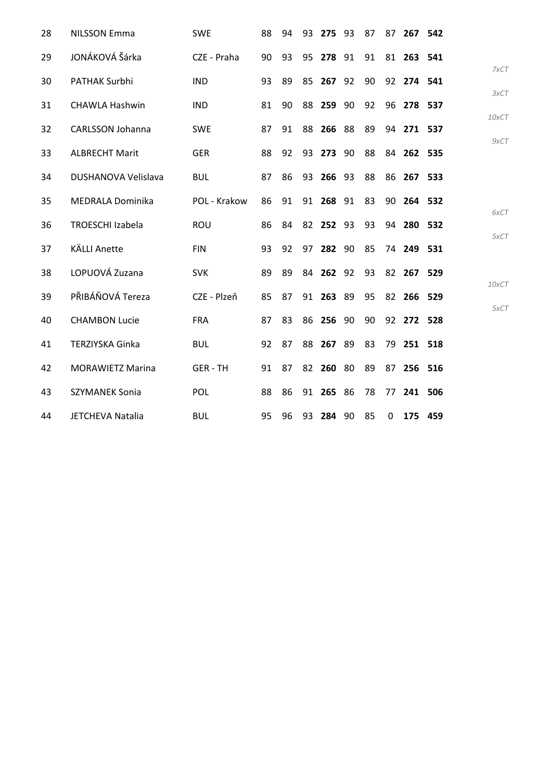| 28 | <b>NILSSON Emma</b>     | <b>SWE</b>    | 88 | 94 | 93 | 275 93    | 87 | 87       |            | 267 542 |       |
|----|-------------------------|---------------|----|----|----|-----------|----|----------|------------|---------|-------|
| 29 | JONÁKOVÁ Šárka          | CZE - Praha   | 90 | 93 |    | 95 278 91 | 91 |          | 81 263 541 |         |       |
| 30 | PATHAK Surbhi           | <b>IND</b>    | 93 | 89 | 85 | 267 92    | 90 |          | 92 274 541 |         |       |
| 31 | <b>CHAWLA Hashwin</b>   | <b>IND</b>    | 81 | 90 | 88 | 259 90    | 92 |          | 96 278 537 |         |       |
| 32 | <b>CARLSSON Johanna</b> | <b>SWE</b>    | 87 | 91 | 88 | 266 88    | 89 |          | 94 271 537 |         | 10xCT |
| 33 | <b>ALBRECHT Marit</b>   | <b>GER</b>    | 88 | 92 |    | 93 273 90 | 88 |          | 84 262 535 |         |       |
| 34 | DUSHANOVA Velislava     | <b>BUL</b>    | 87 | 86 |    | 93 266 93 | 88 |          | 86 267 533 |         |       |
| 35 | <b>MEDRALA Dominika</b> | POL - Krakow  | 86 | 91 |    | 91 268 91 | 83 |          | 90 264 532 |         |       |
| 36 | <b>TROESCHI Izabela</b> | ROU           | 86 | 84 |    | 82 252 93 | 93 |          | 94 280 532 |         |       |
| 37 | <b>KÄLLI Anette</b>     | <b>FIN</b>    | 93 | 92 |    | 97 282 90 | 85 |          | 74 249 531 |         |       |
| 38 | LOPUOVÁ Zuzana          | <b>SVK</b>    | 89 | 89 |    | 84 262 92 | 93 |          | 82 267 529 |         |       |
| 39 | PŘIBÁŇOVÁ Tereza        | CZE - Plzeň   | 85 | 87 |    | 91 263 89 | 95 |          | 82 266 529 |         | 10xCT |
| 40 | <b>CHAMBON Lucie</b>    | <b>FRA</b>    | 87 | 83 |    | 86 256 90 | 90 |          | 92 272 528 |         |       |
| 41 | <b>TERZIYSKA Ginka</b>  | <b>BUL</b>    | 92 | 87 | 88 | 267 89    | 83 | 79       | 251 518    |         |       |
| 42 | <b>MORAWIETZ Marina</b> | <b>GER-TH</b> | 91 | 87 |    | 82 260 80 | 89 |          | 87 256 516 |         |       |
| 43 | <b>SZYMANEK Sonia</b>   | POL           | 88 | 86 |    | 91 265 86 | 78 | 77       |            | 241 506 |       |
| 44 | JETCHEVA Natalia        | <b>BUL</b>    | 95 | 96 |    | 93 284 90 | 85 | $\Omega$ |            | 175 459 |       |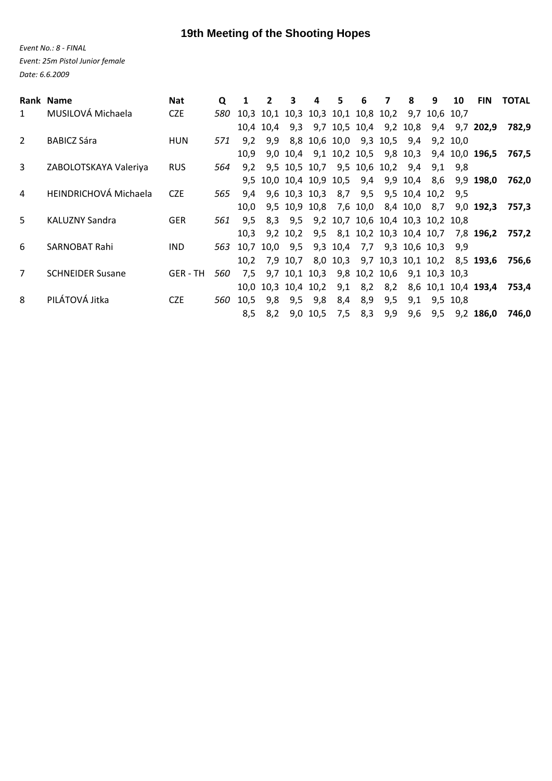## **19th Meeting of the Shooting Hopes**

*Event No.: 8 ‐ FINAL Event: 25m Pistol Junior female Date: 6.6.2009*

|                | Rank Name                    | <b>Nat</b>    | Q   |      | 2         | 3             | 4                   | 5   | 6                                         | 7       | 8   | 9             | 10       | <b>FIN</b>                            | <b>TOTAL</b> |
|----------------|------------------------------|---------------|-----|------|-----------|---------------|---------------------|-----|-------------------------------------------|---------|-----|---------------|----------|---------------------------------------|--------------|
| 1              | MUSILOVÁ Michaela            | <b>CZE</b>    | 580 |      |           |               |                     |     | 10,3 10,1 10,3 10,3 10,1 10,8 10,2 9,7    |         |     | 10,6 10,7     |          |                                       |              |
|                |                              |               |     |      | 10.4 10.4 |               |                     |     | 9,3 9,7 10,5 10,4 9,2 10,8                |         |     |               |          | 9,4 9,7 202,9                         | 782.9        |
| 2              | <b>BABICZ Sára</b>           | <b>HUN</b>    | 571 | 9.2  | 9,9       |               |                     |     | 8,8 10,6 10,0 9,3 10,5                    |         | 9,4 |               | 9.2 10.0 |                                       |              |
|                |                              |               |     | 10.9 |           |               |                     |     | 9,0 10,4 9,1 10,2 10,5 9,8 10,3           |         |     |               |          | 9,4 10,0 196,5                        | 767,5        |
| 3              | ZABOLOTSKAYA Valeriya        | <b>RUS</b>    | 564 | 9.2  |           |               |                     |     | 9,5 10,5 10,7 9,5 10,6 10,2               |         | 9,4 | 9.1           | 9.8      |                                       |              |
|                |                              |               |     |      |           |               |                     |     | 9,5 10,0 10,4 10,9 10,5 9,4 9,9 10,4 8,6  |         |     |               |          | 9,9 198,0                             | 762,0        |
| $\overline{a}$ | <b>HEINDRICHOVÁ Michaela</b> | <b>CZE</b>    | 565 | 9.4  |           |               | 9,6 10,3 10,3       |     | 8,7 9,5 9,5 10,4 10,2                     |         |     |               | 9.5      |                                       |              |
|                |                              |               |     | 10.0 |           |               |                     |     | 9,5 10,9 10,8 7,6 10,0 8,4 10,0 8,7       |         |     |               |          | $9,0$ <b>192,3</b>                    | 757.3        |
| .5.            | <b>KALUZNY Sandra</b>        | <b>GER</b>    | 561 | 9.5  |           |               |                     |     | 8,3 9,5 9,2 10,7 10,6 10,4 10,3 10,2 10,8 |         |     |               |          |                                       |              |
|                |                              |               |     | 10.3 |           | 9,2 10,2      |                     |     |                                           |         |     |               |          | 9,5 8,1 10,2 10,3 10,4 10,7 7,8 196,2 | 757.2        |
| 6              | SARNOBAT Rahi                | <b>IND</b>    | 563 |      |           | 10,7 10,0 9,5 |                     |     | 9,3 10,4 7,7 9,3 10,6 10,3                |         |     |               | 9,9      |                                       |              |
|                |                              |               |     | 10.2 |           | 7,9 10,7      |                     |     |                                           |         |     |               |          | 8,0 10,3 9,7 10,3 10,1 10,2 8,5 193,6 | 756.6        |
| 7              | <b>SCHNEIDER Susane</b>      | <b>GER-TH</b> | 560 | 7.5  |           | 9,7 10,1 10,3 |                     |     | 9,8 10,2 10,6                             |         |     | 9,1 10,3 10,3 |          |                                       |              |
|                |                              |               |     |      |           |               | 10,0 10,3 10,4 10,2 | 9,1 |                                           | 8,2 8,2 |     |               |          | 8,6 10,1 10,4 193,4                   | 753,4        |
| 8              | PILÁTOVÁ Jitka               | <b>CZE</b>    | 560 | 10,5 | 9,8       | 9,5           | 9,8                 | 8,4 | 8,9                                       | 9,5     | 9,1 |               | 9,5 10,8 |                                       |              |
|                |                              |               |     | 8,5  | 8,2       |               | 9,0 10,5            | 7,5 | 8,3                                       | 9,9     | 9,6 | 9,5           |          | $9,2$ 186,0                           | 746.0        |